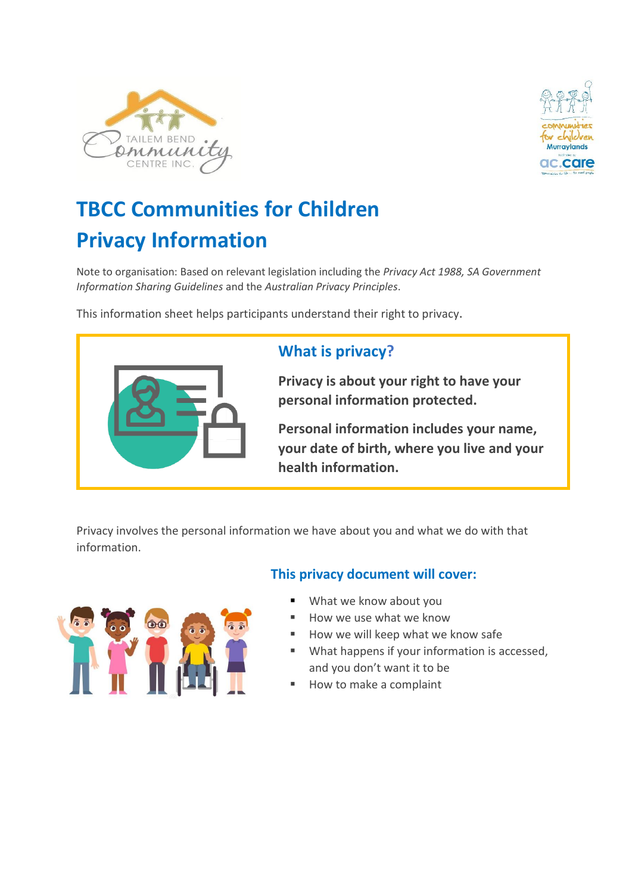



# **TBCC Communities for Children Privacy Information**

Note to organisation: Based on relevant legislation including the *Privacy Act 1988, SA Government Information Sharing Guidelines* and the *Australian Privacy Principles*.

This information sheet helps participants understand their right to privacy.



# **What is privacy?**

**Privacy is about your right to have your personal information protected.** 

**Personal information includes your name, your date of birth, where you live and your health information.**

Privacy involves the personal information we have about you and what we do with that information.



## **This privacy document will cover:**

- What we know about you
- How we use what we know
- How we will keep what we know safe
- What happens if your information is accessed, and you don't want it to be
- How to make a complaint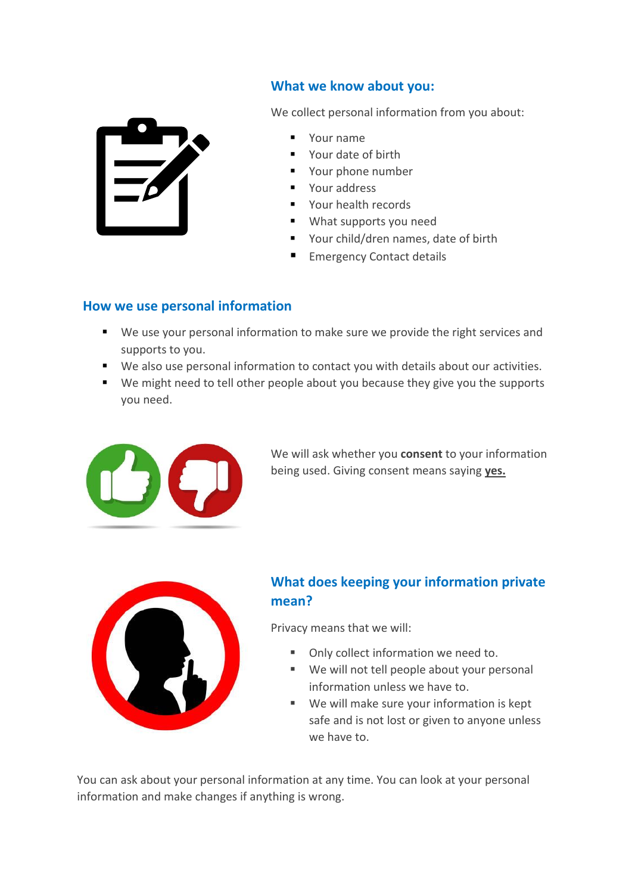### **What we know about you:**



We collect personal information from you about:

- Your name
- Your date of birth
- Your phone number
- Your address
- Your health records
- What supports you need
- Your child/dren names, date of birth
- **Emergency Contact details**

#### **How we use personal information**

- We use your personal information to make sure we provide the right services and supports to you.
- We also use personal information to contact you with details about our activities.
- We might need to tell other people about you because they give you the supports you need.



We will ask whether you **consent** to your information being used. Giving consent means saying **yes.** 



# **What does keeping your information private mean?**

Privacy means that we will:

- Only collect information we need to.
- We will not tell people about your personal information unless we have to.
- We will make sure your information is kept safe and is not lost or given to anyone unless we have to.

You can ask about your personal information at any time. You can look at your personal information and make changes if anything is wrong.